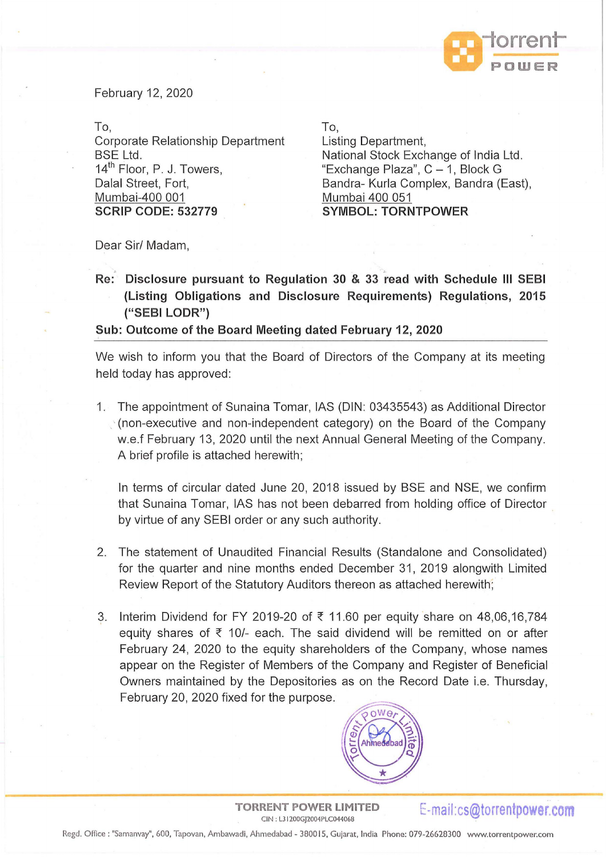

February 12, 2020

To, Corporate Relationship Department BSE Ltd. 14<sup>th</sup> Floor, P. J. Towers, Dalal Street, Fort, Mumbai-400 001 **SCRIP CODE: 532779** 

To,

Listing Department, National Stock Exchange of India Ltd . "Exchange Plaza",  $C - 1$ , Block G Bandra- Kurla Complex, Bandra (East), Mumbai 400 051 **SYMBOL: TORNTPOWER** 

Dear Sir/ Madam,

., **Re: Disclosure pursuant to Regulation 30** & 33 **read with Schedule Ill SEBI (Listing Obligations and Disclosure Requirements) Regulations, 2015 ("SEBI LODR")** 

## **Sub: Outcome of the Board Meeting dated February 12, 2020**

We wish to inform you that the Board of Directors of the Company at its meeting held today has approved:

1. The appointment of Sunaina Tomar, IAS (DIN: 03435543) as Additional Director  $\gamma$  (non-executive and non-independent category) on the Board of the Company w.e.f February 13, 2020 until the next Annual General Meeting of the Company. A brief profile is attached herewith;

In terms of circular dated June 20, 2018 issued by BSE and NSE, we confirm that Sunaina Tomar, IAS has not been debarred from holding office of Director by virtue of any SEBI order or any such authority.

- 2. The statement of Unaudited Financial Results (Standalone and Consolidated) for the quarter and nine months ended December 31, 2019 alongwith Limited Review Report of the Statutory Auditors thereon as attached herewith;
- 3. Interim Dividend for FY 2019-20 of  $\bar{\tau}$  11.60 per equity share on 48,06,16,784 equity shares of  $\bar{\tau}$  10/- each. The said dividend will be remitted on or after February 24, 2020 to the equity shareholders of the Company, whose names appear on the Register of Members of the Company and Register of Beneficial Owners maintained by the Depositories as on the Record Date i.e. Thursday, February 20, 2020 fixed for the purpose.



**TORRENT POWER LIMITED RENT POWER LIMITED** E-mail:cs@torrentpower.com

Regd. Office: "Samanvay", 600, Tapovan, Ambawadi, Ahmedabad - 3800 15, Gujarat, India Phone: 079-26628300 www.torrentpower.com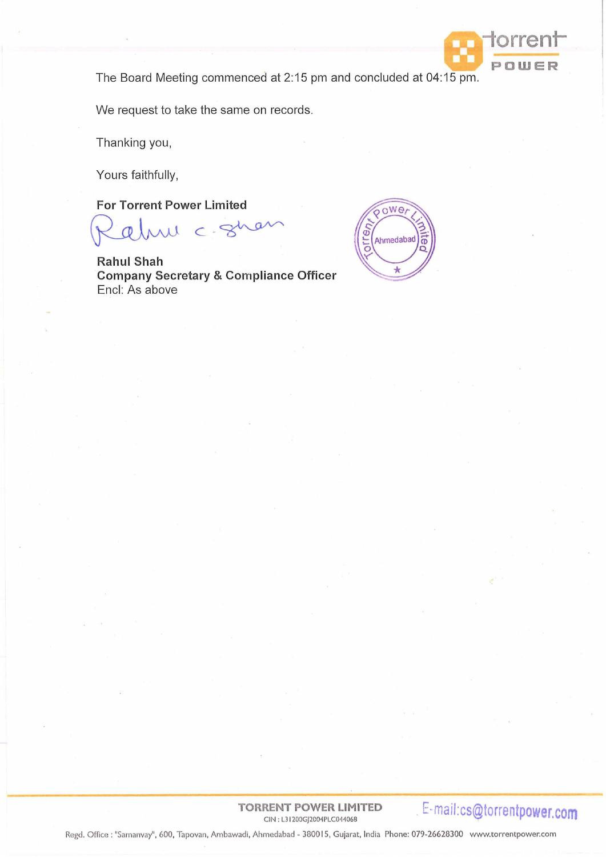

The Board Meeting commenced at 2:15 pm and concluded at 04:15 pm.

We request to take the same on records.

Thanking you,

Yours faithfully,

**For Torrent Power Limited** 

 $10-c$   $-8$ 

**Rahul Shah Company Secretary & Compliance Officer**  Encl: As above



**TORRENT POWER LIMITED** 

CIN : L3 I 200GJ2004PLC044068 . **E-mail:cs@torrentpower.com** 

Regd. Office: "Samanvay", 600, Tapovan, Ambawadi, Ahmedabad - 380015, Gujarat, India Phone: 079-26628300 www.torrentpower.com